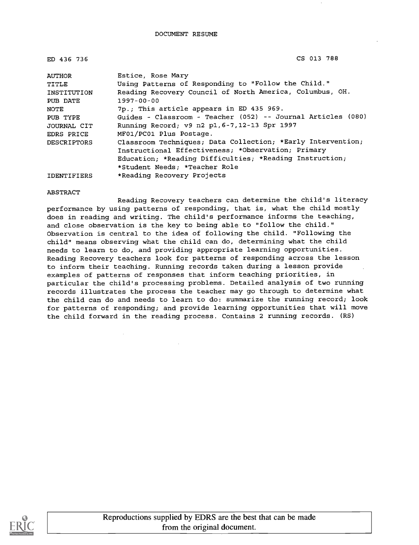| ED 436 736         | CS 013 788                                                   |
|--------------------|--------------------------------------------------------------|
| <b>AUTHOR</b>      | Estice, Rose Mary                                            |
| TITLE              | Using Patterns of Responding to "Follow the Child."          |
| INSTITUTION        | Reading Recovery Council of North America, Columbus, OH.     |
| PUB DATE           | $1997 - 00 - 00$                                             |
| NOTE               | 7p.; This article appears in ED 435 969.                     |
| PUB TYPE           | Guides - Classroom - Teacher (052) -- Journal Articles (080) |
| JOURNAL CIT        | Running Record; v9 n2 p1, 6-7, 12-13 Spr 1997                |
| EDRS PRICE         | MF01/PC01 Plus Postage.                                      |
| DESCRIPTORS        | Classroom Techniques; Data Collection; *Early Intervention;  |
|                    | Instructional Effectiveness; *Observation; Primary           |
|                    | Education; *Reading Difficulties; *Reading Instruction;      |
|                    | *Student Needs; *Teacher Role                                |
| <b>IDENTIFIERS</b> | *Reading Recovery Projects                                   |

#### ABSTRACT

Reading Recovery teachers can determine the child's literacy performance by using patterns of responding, that is, what the child mostly does in reading and writing. The child's performance informs the teaching, and close observation is the key to being able to "follow the child." Observation is central to the idea of following the child. "Following the child" means observing what the child can do, determining what the child needs to learn to do, and providing appropriate learning opportunities. Reading Recovery teachers look for patterns of responding across the lesson to inform their teaching. Running records taken during a lesson provide examples of patterns of responses that inform teaching priorities, in particular the child's processing problems. Detailed analysis of two running records illustrates the process the teacher may go through to determine what the child can do and needs to learn to do: summarize the running record; look for patterns of responding; and provide learning opportunities that will move the child forward in the reading process. Contains 2 running records. (RS)

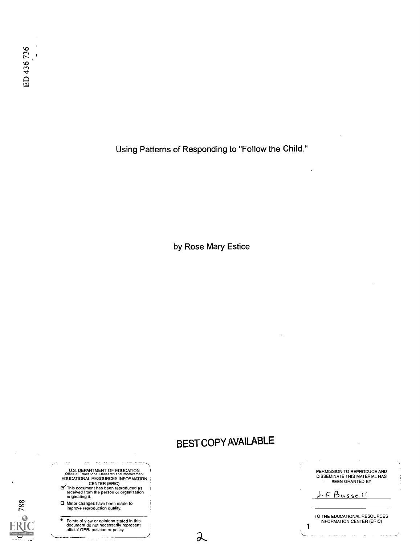Using Patterns of Responding to "Follow the Child."

by Rose Mary Estice

# BEST COPY AVAILABLE

 $\lambda$ 

U.S. DEPARTMENT OF EDUCATION Office of Educational Research and Improvement

- EDUCATIONAL RESOURCES INFORMATION<br>
CENTER (ERIC)<br>
This document has been reproduced as<br>
received from the person or organization<br>
originating it.
- orginating it.<br>
20 **D** Minor changes have been made to<br>
improve reproduction quality.

**Critical** 

.\_\_..'

Points of view or opinions stated in this<br>document do not necessarily represent<br>official OERI position or policy.

PERMISSION TO REPRODUCE AND DISSEMINATE THIS MATERIAL HAS BEEN GRANTED BY

 $F$  Bussell

1

TO THE EDUCATIONAL RESOURCES INFORMATION CENTER (ERIC)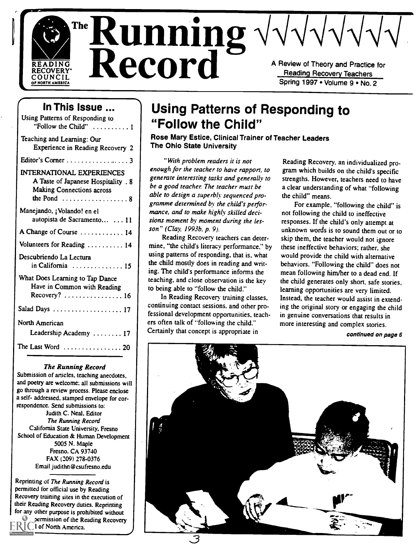

 $\sum_{\text{READING}}^{\text{READING}}$  Record Record A Review of Theory and Practice for Recovery Teachers READING<br>
COUNCIL COUNCIL RECOVERY<br>
OF NORTH AMERICA<br>
OF NORTH AMERICA<br>
OF NORTH AMERICA Reading Recovery Teachers

## Spring 1997 • Volume 9 • No. 2

## In This Issue ...

| Using Patterns of Responding to<br>"Follow the Child" $\dots\dots\dots\dots$                                                                                          |                                 |
|-----------------------------------------------------------------------------------------------------------------------------------------------------------------------|---------------------------------|
| Teaching and Learning: Our<br>Experience in Reading Recovery 2                                                                                                        | Ros<br><b>The</b>               |
| Editor's Corner 3                                                                                                                                                     | enou                            |
| <b>INTERNATIONAL EXPERIENCES</b><br>A Taste of Japanese Hospitality . 8<br><b>Making Connections across</b><br>the Pond $\ldots \ldots \ldots \ldots \ldots \ldots 8$ | gener<br>be a<br>able i<br>gram |
| Manejando, ¡Volando! en el<br>autopista de Sacramento  11                                                                                                             | manc<br>sions                   |
| A Change of Course  14                                                                                                                                                | son"<br>Б                       |
| Volunteers for Reading  14                                                                                                                                            | mine.                           |
| Descubriendo La Lectura<br>in California  15                                                                                                                          | using<br>the ch<br>ing. T       |
| What Does Learning to Tap Dance<br>Have in Common with Reading<br>Recovery? $\ldots \ldots \ldots \ldots 16$                                                          | teachi<br>to bei:<br>Iı         |
| Salad Days  17                                                                                                                                                        | contin<br>fessio                |
| North American<br>Leadership Academy  17                                                                                                                              | ers ofi<br>Certai               |
| The Last Word $\ldots \ldots \ldots \ldots \ldots 20$                                                                                                                 |                                 |
|                                                                                                                                                                       |                                 |

#### The Running Record

Submission of articles, teaching anecdotes, and poetry are welcome; all submissions will go through a review process. Please enclose a self- addressed, stamped envelope for correspondence. Send submissions to: Judith C. Neal. Editor The Running Record California State University. Fresno School of Education & Human Development 5005 N. Maple Fresno. CA 93740 FAX (209) 278-0376 Email judithn@csufresno.edu

Reprinting of The Running Record is permitted for official use by Reading Recovery training sites in the execution of their Reading Recovery duties. Reprinting for any other purpose is prohibited without permission of the Reading Recovery \.Council of North America.

## Using Patterns of Responding to "Follow the Child"

Rose Mary Estice, Clinical Trainer of Teacher Leaders The Ohio State University

"With problem readers it is not enough for the teacher to have rapport, to generate interesting tasks and generally to be a good teacher. The teacher must be able to design a superbly sequenced programme determined by the child's performance, and to make highly skilled decisions moment by moment during the lesson" (Clay, 1993b, p. 9).

Reading Recovery teachers can determine, "the child's literacy performance," by using patterns of responding, that is, what the child mostly does in reading and writing. The child's performance informs the teaching, and close observation is the key to being able to "follow the child."

In Reading Recovery training classes, continuing contact sessions. and other professional development opportunities, teachers often talk of "following the child." Certainly that concept is appropriate in

Reading Recovery, an individualized program which builds on the child's specific strengths. However, teachers need to have a clear understanding of what "following the child" means.

For example, "following the child" is not following the child to ineffective responses. If the child's only attempt at unknown words is to sound them out or to skip them, the teacher would not ignore these ineffective behaviors; rather, she would provide the child with alternative behaviors. "Following the child" does not mean following him/her to a dead end. If the child generates only short, safe stories. learning opportunities are very limited. Instead, the teacher would assist in extending the original story or engaging the child in genuine conversations that results in more interesting and complex stories.

continued on page 6

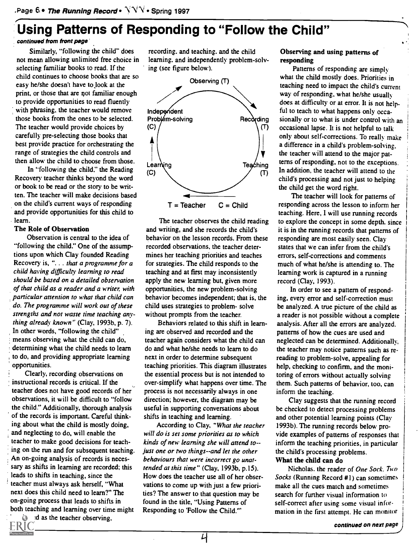## Using Patterns of Responding to "Follow the Child"

### continued from front page'

Similarly, "following the child" does not mean allowing unlimited free choice in selecting familiar books to read. If the child continues to choose books that are so easy he/she doesn't have to look at the print, or those that are not familiar enough to provide opportunities to read fluently with phrasing. the teacher would remove those books from the ones to be selected. The teacher would provide choices by carefully pre-selecting those books that best provide practice for orchestrating the range of strategies the child controls and then allow the child to choose from those.

In "following the child," the Reading Recovery teacher thinks beyond the word or book to be read or the story to be written. The teacher will make decisions based on the child's current ways of responding and provide opportunities for this child to learn.

#### The Role of Observation

Observation is central to the idea of "following the child." One of the assumptions upon which Clay founded Reading Recovery is, ". . . that a programme for a child having difficulty learning to read should be based on a detailed observation of that child as a reader and a writer, with particular attention to what that child can do. The programme will work out of these strengths and not waste time teaching anything already known" (Clay, 1993b, p. 7). In other words, "following the child" means observing what the child can do, determining what the child needs to learn . to do, and providing appropriate learning opportunities.

Clearly, recording observations on instructional records is critical. If the teacher does not have good records of her observations, it will be difficult to "follow the child." Additionally, thorough analysis of the records is important. Careful thinking about what the child is mostly doing, and neglecting to do, will enable the teacher to make good decisions for teaching on the run and for subsequent teaching. An on-going analysis of records is necessary as shifts in learning are recorded; this leads to shifts in teaching, since the teacher must always ask herself, "What next does this child need to learn?" The on-going process that leads to shifts in both teaching and learning over time might  $d$  as the teacher observing,

recording. and teaching. and the child learning, and independently problem-solving (see figure below).



The teacher observes the child reading and writing, and she records the child's behavior on the lesson records. From these recorded observations, the teacher determines her teaching priorities and teaches for strategies. The child responds to the teaching and at first may inconsistently apply the new learning but, given more opportunities, the new problem-solving behavior becomes independent; that is, the child uses strategies to problem- solve without prompts from the teacher.

Behaviors related to this shift in learning are observed and recorded and the teacher again considers what the child can do and what he/she needs to learn to do next in order to determine subsequent teaching priorities. This diagram illustrates the essential process but is not intended to over-simplify what happens over time. The process is not necessarily always in one direction; however, the diagram may be useful in supporting conversations about shifts in teaching and learning.

According to Clay, "What the teacher will do is set some priorities as to which kinds of new learning she will attend to-just one or two things--and let the other behaviours that were incorrect go unattended at this time" (Clay, 1993b, p.15). How does the teacher use all of her observations to come up with just a few priorities? The answer to that question may be found in the title, "Using Patterns of Responding to 'Follow the Child."'

#### Observing and using patterns of responding

Patterns of responding are simply what the child mostly does. Priorities in teaching need to impact the child's current way of responding. what he/she usually does at difficulty or at error. It is not helpful to teach to what happens only occasionally or to what is under control with an occasional lapse. It is not helpful to talk only about self-corrections. To really make a difference in a child's problem-solving. the teacher will attend to the major patterns of responding, not to the exceptions. In addition, the teacher will attend to the child's processing and not just to helping the child get the word right.

The teacher will look for patterns of responding across the lesson to inform her teaching. Here, I will use running records to explore the concept in some depth. since it is in the running records that patterns of responding are most easily seen. Clay states that we can infer from the child's errors, self-corrections and comments much of what he/she is attending to. The learning work is captured in a running record (Clay, 1993).

In order to see a pattern of responding, every error and self-correction must be analyzed. A true picture of the child as a reader is not possible without a complete analysis. After all the errors are analyzed. patterns of how the cues are used and neglected can be determined. Additionally. the teacher may notice patterns such as rereading to problem-solve, appealing for help, checking to confirm, and the monitoring of errors without actually solving them. Such patterns of behavior, too, can inform the teaching.

Clay suggests that the running record be checked to detect processing problems and other potential learning points (Clay 1993b). The running records below provide examples of patterns of responses that inform the teaching priorities, in particular the child's processing problems. What the child can do

Nicholas. the reader of One Sock. Two Socks (Running Record #1) can sometimes make all the cues match and sometimes search for further visual information to self-correct after using some visual information in the first attempt. He can monitor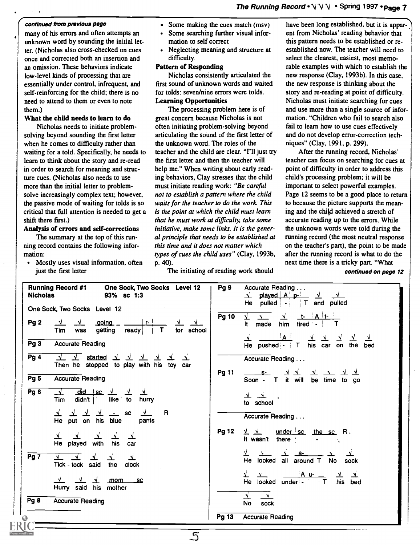## The Running Record  $\cdot \vee \vee \vee \cdot$  Spring 1997  $\cdot$  Page 7

#### continued from previous page

many of his errors and often attempts an unknown word by sounding the initial letter. (Nicholas also cross-checked on cues once and corrected both an insertion and an omission. These behaviors indicate low-level kinds of processing that are essentially under control, infrequent, and self-reinforcing for the child; there is no need to attend to them or even to note them.)

#### What the child needs to learn to do

Nicholas needs to initiate problemsolving beyond sounding the first letter when he comes to difficulty rather than waiting for a told. Specifically, he needs to learn to think about the story and re-read in order to search for meaning and structure cues. (Nicholas also needs to use more than the initial letter to problemsolve increasingly complex text; however, the passive mode of waiting for tolds is so critical that full attention is needed to get a shift there first.)

#### Analysis of errors and self-corrections

The summary at the top of this running record contains the following information:

• Mostly uses visual information, often just the first letter

÷

÷

- Some making the cues match (msv)
- Some searching further visual information to self correct
- Neglecting meaning and structure at difficulty.

#### Pattern of Responding

Nicholas consistently articulated the first sound of unknown words and waited for tolds: seven/nine errors were tolds. Learning Opportunities

The processing problem here is of great concern because Nicholas is not often initiating problem-solving beyond articulating the sound of the first letter of the unknown word. The roles of the teacher and the child are clear. "I'll just try the first letter and then the teacher will help me." When writing about early reading behaviors, Clay stresses that the child must initiate reading work: "Be careful not to establish a pattern where the child waits for the teacher to do the work. This is the point at which the child must learn that he must work at difficulty, take some initiative, make some links. It is the general principle that needs to be established at this time and it does not matter which types of cues the child uses" (Clay, 1993b, p. 40).

The initiating of reading work should

have been long established, but it is apparent from Nicholas' reading behavior that this pattern needs to be established or reestablished now. The teacher will need to select the clearest, easiest, most memorable examples with which to establish the new response (Clay, 1993b). In this case, the new response is thinking about the story and re-reading at point of difficulty. Nicholas must initiate searching for cues and use more than a single source of information. "Children who fail to search also fail to learn how to use cues effectively and do not develop error-correction techniques" (Clay, 1991, p. 299).

After the running record, Nicholas' teacher can focus on searching for cues at point of difficulty in order to address this child's processing problem; it will be important to select powerful examples. Page 12 seems to be a good place to return to because the picture supports the meaning and the child achieved a stretch of accurate reading up to the errors. While the unknown words were told during the running record (the most neutral response on the teacher's part), the point to be made after the running record is what to do the next time there is a tricky part. "What

continued on page 12

| <b>Running Record #1</b><br>One Sock, Two Socks Level 12<br><b>Nicholas</b><br>93% sc 1:3                                    | Pg <sub>9</sub><br>Accurate Reading<br>$\sqrt{}$ played $A^{\dagger}$ p- $\sqrt{}$<br>He pulled $\left  \begin{array}{c} - \\ + \end{array} \right $ T and pulled                          |
|------------------------------------------------------------------------------------------------------------------------------|--------------------------------------------------------------------------------------------------------------------------------------------------------------------------------------------|
| One Sock, Two Socks Level 12                                                                                                 | Pg 10<br>$\mathbf{v}$<br>$\mathbf{v}$<br>N.                                                                                                                                                |
| r <br>Pg <sub>2</sub><br>_aoina<br>$\sqrt{ }$<br>$\sqrt{ }$<br>$\overline{1}$ T<br>for school<br>getting ready<br>Tim<br>was | him<br>tired $\vert \cdot \vert$<br>It made                                                                                                                                                |
| Pg3<br><b>Accurate Reading</b>                                                                                               | ≟A !<br><u>র ক</u><br>his car on the<br>He pushed: $\mathbf{I}$ T<br>bed                                                                                                                   |
| Pg4<br>$\sqrt{ }$<br>started $\sqrt{2}$ $\sqrt{2}$ $\sqrt{2}$<br>$\sqrt{ }$<br>Then he stopped to play with his toy car      | Accurate Reading                                                                                                                                                                           |
| Pg5<br><b>Accurate Reading</b>                                                                                               | <b>Pg 11</b><br>ᆚᆚ<br>$S^2$<br><u>_ 고 __ 고 _</u><br><u>YY</u><br>Soon - T it will be time to go                                                                                            |
| Pg6<br>$\frac{d}{dx}$ did isc $\frac{1}{x}$ $\frac{1}{x}$<br>$\sqrt{ }$<br><u>_v</u><br>Tim didn't ike to<br>hurry           | $\frac{1}{\sqrt{2}}$<br>to school                                                                                                                                                          |
| <u>v v v v -</u> sc<br>R<br>$\mathcal{N}$<br>He put on his blue<br>pants                                                     | Accurate Reading                                                                                                                                                                           |
| $\frac{y}{x}$ $\frac{y}{x}$ $\frac{y}{x}$ $\frac{y}{x}$<br>He played with his<br>car                                         | <b>Pg 12</b><br>$\sqrt{\frac{1}{x}}$ under sc the sc R.<br>It wasn't<br>there :                                                                                                            |
| Pg7<br>Tick - tock said the<br>clock                                                                                         | $\frac{1}{2}$ a- $\frac{1}{2}$<br>$\lambda$<br>He looked all around T No sock                                                                                                              |
| $\sqrt{ }$<br>mom sc<br>Hurry said his mother                                                                                | $A \cup$<br>$\frac{y}{H}$ $\frac{y}{H}$ $\frac{y}{H}$ $\frac{y}{H}$ $\frac{y}{H}$ $\frac{y}{H}$ $\frac{y}{H}$ $\frac{y}{H}$ $\frac{y}{H}$ $\frac{y}{H}$ $\frac{y}{H}$ $\frac{y}{H}$<br>bed |
| Pg 8<br><b>Accurate Reading</b>                                                                                              | ∸<br>$\mathbf{v}$<br>sock<br>No                                                                                                                                                            |
|                                                                                                                              | <b>Accurate Reading</b><br>Pg $13$                                                                                                                                                         |

5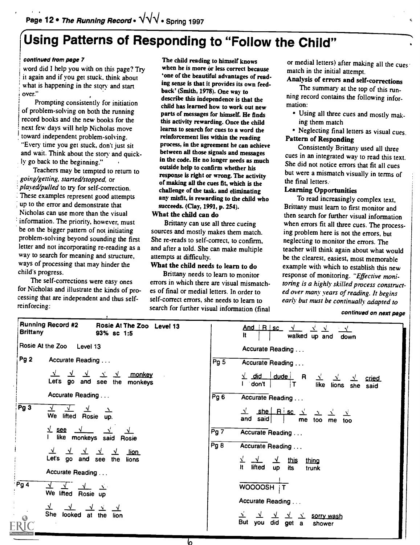# Using Patterns of Responding to "Follow the Child"

#### continued from page 7

word did I help you with on this page? Try it again and if you get stuck, think about what is happening in the story and start over."

Prompting consistently for initiation of problem-solving on both the running record books and the new books for the next few days will help Nicholas move toward independent problem-solving. "Every time you get stuck, don't just sit and wait. Think about the story and quickly go back to the beginning."

Teachers may be tempted to return to going/getting, started/stopped, or played/pulled to try for self-correction. These examples represent good attempts up to the error and demonstrate that Nicholas can use more than the visual information. The priority, however, must be on the bigger pattern of not initiating problem-solving beyond sounding the first letter and not incorporating re-reading as a way to search for meaning and structure, ways of processing that may hinder the child's progress.

The self-corrections were easy ones for Nicholas and illustrate the kinds of processing that are independent and thus selfreinforcing:

The child reading to himself knows when he is more or less correct because 'one of the beautiful advantages of reading sense is that it provides its own feedback' (Smith, 1978). One way to describe this independence is that the child has learned how to work out new parts of messages for himself. He finds this activity rewarding. Once the child learns to search for cues to a word the reinforcement lies within the reading process, in the agreement he can achieve between all those signals and messages in the code. He no longer needs as much outside help to confirm whether his response is right or wrong. The activity of making all the cues fit, which is the challenge of the task, and eliminating any misfit, is rewarding to the child who succeeds. (Clay, 1991, p. 254).

## What the child can do

Brittany can use all three cueing sources and mostly makes them match. She re-reads to self-correct, to confirm, and after a told. She can make multiple attempts at difficulty.

## What the child needs to learn to do

Brittany needs to learn to monitor errors in which there are visual mismatches of final or medial letters. In order to self-correct errors, she needs to learn to search for further visual information (final

or medial letters) after making all the cues match in the initial attempt.

## Analysis of errors and self-corrections

The summary at the top of this running record contains the following information:

- Using all three cues and mostly making them match
- Neglecting final letters as visual cues. Pattern of Responding

Consistently Brittany used all three cues in an integrated way to read this text. She did not notice errors that fit all cues but were a mismatch visually in terms of the final letters.

#### Learning Opportunities

To read increasingly complex text, Brittany must learn to first monitor and then search for further visual information when errors fit all three cues. The processing problem here is not the errors, but neglecting to monitor the errors. The teacher will think again about what would be the clearest, easiest, most memorable example with which to establish this new response of monitoring. "Effective monitoring is a highly skilled process constructed over many years of reading. It begins early but must be continually adapted to

#### continued on next page

| <b>Brittany</b>           | <b>Running Record #2</b>           | Rosie At The Zoo Level 13<br>93% sc 1:5                             |                  | And R sc<br>It<br>walked up and<br>down                                       |
|---------------------------|------------------------------------|---------------------------------------------------------------------|------------------|-------------------------------------------------------------------------------|
| Rosie At the Zoo Level 13 |                                    |                                                                     | Accurate Reading |                                                                               |
| Pg <sub>2</sub>           | Accurate Reading                   |                                                                     | Pg <sub>5</sub>  | Accurate Reading                                                              |
|                           | ᆚ<br>$\mathbf{\Delta}$             | $\Delta'$<br>monkey<br>$\mathbf{y}$<br>Let's go and see the monkeys |                  | $\frac{1}{2}$ did dude R<br>غ<br>cried<br>don't<br>like<br>lions she said     |
|                           | Accurate Reading                   |                                                                     | Pg6              | Accurate Reading                                                              |
| Pg3                       | $\sqrt{ }$<br>We lifted Rosie      | $\Delta$<br>up.                                                     |                  | $shel$ R sc $\sqrt{ }$<br>$\mathbf{v}$<br>and said<br>me too me<br>too        |
|                           | $\frac{1}{2}$ see<br>Ł             | like monkeys said Rosie                                             | Pg 7             | Accurate Reading                                                              |
|                           | $\sqrt{ }$<br>Let's go and see the | ⊻<br>⊻<br><u>lion</u><br>lions                                      | Pg 8             | Accurate Reading<br>⊻<br><u>this</u><br>thing<br>$\mathbf{N}$<br>$\mathbf{v}$ |
|                           | Accurate Reading                   |                                                                     |                  | It.<br>lifted<br><b>up</b><br>its<br>trunk                                    |
| Pg4                       | We lifted Rosie up                 | $\Delta$                                                            |                  | WOOOOSH IT                                                                    |
|                           |                                    |                                                                     |                  | Accurate Reading                                                              |
| $\odot$                   | <b>She</b><br>looked at the        | lion                                                                |                  | 立<br>sorry wash<br><b>But</b><br>did get a<br>you<br>shower                   |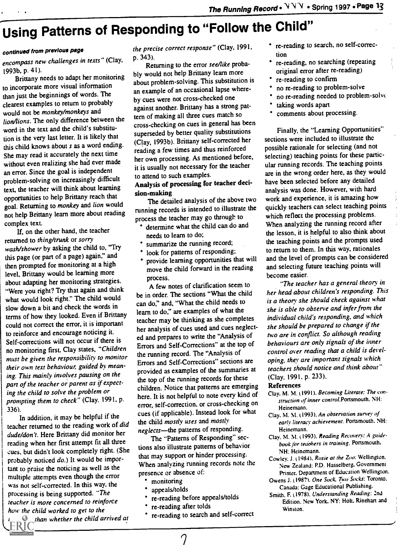# Using Patterns of Responding to "Follow the Child"

### continued from previous page

encompass new challenges in texts" (Clay, 1993b, p. 41).

Brittany needs to adapt her monitoring to incorporate more visual information than just the beginnings of words. The clearest examples to return to probably would not be monkey/monkeys and lion/lions. The only difference between the word in the text and the child's substitution is the very last letter. It is likely that this child knows about s as a word ending. She may read it accurately the next time without even realizing she had ever made an error. Since the goal is independent problem-solving on increasingly difficult text, the teacher will think about learning opportunities to help Brittany reach that goal. Returning to monkey and lion would not help Brittany learn more about reading complex text.

If, on the other hand, the teacher returned to thing/trunk or sorry wash/shower by asking the child to, "Try this page (or part of a page) again," and then prompted for monitoring at a high level, Brittany would be learning more about adapting her monitoring strategies. "Were you right? Try that again and think what would look right." The child would slow down a bit and check the words in terms of how they looked. Even if Brittany could not correct the error, it is important to reinforce and encourage noticing it. Self-corrections will not occur if there is no monitoring first. Clay states, "Children must be given the responsibility to monitor their own text behaviour, guided by meaning. This mainly involves pausing on the part of the teacher or parent as if expecting the child to solve the problem or prompting them to check" (Clay. 1991, p. 336).

In addition, it may be helpful if the teacher returned to the reading work of did dude/don't. Here Brittany did monitor her reading when her first attempt fit all three cues. but didn't look completely right. (She probably noticed do.) It would be important to praise the noticing as well as the multiple attempts even though the error was not self-corrected. In this way, the processing is being supported. "The teacher is more concerned to reinforce how the child worked to get to the

than whether the child arrived at

the precise correct response" (Clay, 1991, p. 343).

Returning to the error see/like probably would not help Brittany learn more about problem-solving. This substitution is an example of an occasional lapse whereby cues were not cross-checked one against another. Brittany has a strong pattern of making all three cues match so cross-checking on cues in general has been superseded by better quality substitutions (Clay, 1993b). Brittany self-corrected her reading a few times and thus reinforced her own processing. As mentioned before, it is usually not necessary for the teacher to attend to such examples.

### Analysis of processing for teacher decision-making

The detailed analysis of the above two running records is intended to illustrate the process the teacher may go through to

- determine what the child can do and needs to learn to do;
- summarize the running record;
- look for patterns of responding;
- provide learning opportunities that will move the child forward in the reading process.

A few notes of clarification seem to be in order. The sections "What the child can do," and, "What the child needs to learn to do," are examples of what the teacher may be thinking as she completes her analysis of cues used and cues neglected and prepares to write the "Analysis of Errors and Self-Corrections" at the top of the running record. The "Analysis of Errors and Self-Corrections" sections are provided as examples of the summaries at the top of the running records for these children. Notice that patterns are emerging here. It is not helpful to note every kind of error, self-correction, or cross-checking on cues (if applicable). Instead look for what the child mostly uses and mostly neglects-the patterns of responding.

The "Patterns of Responding" sections also illustrate patterns of behavior that may support or hinder processing. When analyzing running records note the presence or absence of:

- monitoring
- appeals/tolds
- re-reading before appeals/tolds
- re-reading after colds
- re-reading to search and self-correct

re-reading to search, no self-correction

- re-reading, no searching (repeating original error after re-reading)
- re-reading to confirm
- no re-reading to problem-solve
- no re-reading needed to problem-solve
- taking words apart
- comments about processing.

Finally, the "Learning Opportunities" sections were included to illustrate the possible rationale for selecting (and not selecting) teaching points for these particular running records. The teaching points are in the wrong order here, as they would have been selected before any detailed analysis was done. However, with hard work and experience, it is amazing how quickly teachers can select teaching points which reflect the processing problems. When analyzing the running record after the lesson, it is helpful to also think about the teaching points and the prompts used to return to them. In this way, rationales and the level of prompts can be considered and selecting future teaching points will become easier.

"The teacher has a general theory in her head about children's responding. This is a theory she should check against what she is able to observe and infer from the individual child's responding, and which she should be prepared to change if the two are in conflict. So although reading behaviours are only signals of the inner control over reading that a child is developing, they are important signals which teachers should notice and think about" (Clay, 1991. p. 233).

#### References

- Clay. M. M. (1991). Becoming Literate: The construction of inner control.Portsmouth. NH: Heinemann.
- Clay. M. M. (1993). An observation survey of early literacy achievement. Portsmouth. NH: Heinemann.
- Clay. M. M. 11993). Reading Recovery: A guidebook for teachers in training. Portsmouth. NH: Heinemann.
- Cowley. J. (1984). Rosie at the Zoo: Wellington. New Zealand: P.D. Hasselberg, Government Printer. Department of Education Wellington.
- Owens J. (1987). One Sock. Two Socks: Toronto. Canada: Gage Educational Publishing.
- Smith. F. (1978). Understanding Reading: 2nd Edition. New York, NY: Holt. Rinehart and Winston.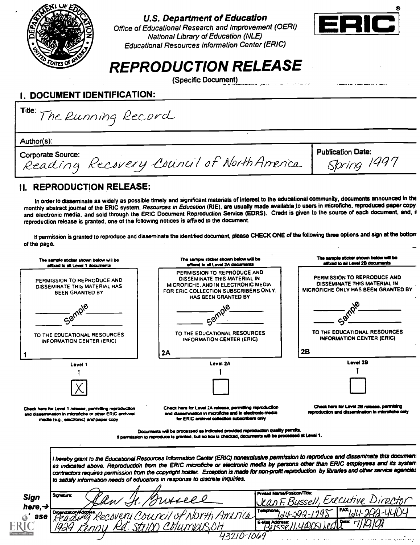

## U.S. Department of Education

Office of Educational Research and Improvement (OERI) National Library of Education (NLE) Educational Resources Information Center (ERIC)



# REPRODUCTION RELEASE

(Specific Document)

## I. DOCUMENT IDENTIFICATION:

Title: The Running Record

Author(s):

Corporate Source: Corporate Source: Corporate Source: Corporate Source: Corporate Source: Corporate: Superintence.com.<br>Reading Recovery Council of NorthAmerica. Spring 1997

## II. REPRODUCTION RELEASE:

In order to disseminate as widely as possible timely and significant materials of interest to the educational community, documents announced in the monthly abstract journal of the ERIC system, Resources in Education (RIE), are usually made available to users In microfiche, reproduced paper copy. and electronic media, and sold through the ERIC Document Reproduction Service (EDRS). Credit is given to the source of each document, and, t reproduction release is granted, one of the following notices is affixed to the document.

If permission is granted to reproduce and disseminate the identified document, please CHECK ONE of the following three options and sign at the bottom of the page.

| The sample sticker shown below will be<br>affixed to all Level 1 documents                                                                                    | The sample sticker shown below will be<br>affixed to all Level 2A documents                                                                                                                                                                                                                                                                                                                                                                                                                                       | The sample sticker shown below will be<br>affixed to all Level 2B documents                               |
|---------------------------------------------------------------------------------------------------------------------------------------------------------------|-------------------------------------------------------------------------------------------------------------------------------------------------------------------------------------------------------------------------------------------------------------------------------------------------------------------------------------------------------------------------------------------------------------------------------------------------------------------------------------------------------------------|-----------------------------------------------------------------------------------------------------------|
| PERMISSION TO REPRODUCE AND<br>DISSEMINATE THIS MATERIAL HAS<br><b>BEEN GRANTED BY</b>                                                                        | PERMISSION TO REPRODUCE AND<br>DISSEMINATE THIS MATERIAL IN<br>MICROFICHE, AND IN ELECTRONIC MEDIA<br>FOR ERIC COLLECTION SUBSCRIBERS ONLY.<br>HAS BEEN GRANTED BY                                                                                                                                                                                                                                                                                                                                                | PERMISSION TO REPRODUCE AND<br>DISSEMINATE THIS MATERIAL IN<br><b>MICROFICHE ONLY HAS BEEN GRANTED BY</b> |
| Sarnp                                                                                                                                                         |                                                                                                                                                                                                                                                                                                                                                                                                                                                                                                                   |                                                                                                           |
| TO THE EDUCATIONAL RESOURCES<br><b>INFORMATION CENTER (ERIC)</b>                                                                                              | TO THE EDUCATIONAL RESOURCES<br>INFORMATION CENTER (ERIC)                                                                                                                                                                                                                                                                                                                                                                                                                                                         | TO THE EDUCATIONAL RESOURCES<br><b>INFORMATION CENTER (ERIC)</b>                                          |
|                                                                                                                                                               | 2A                                                                                                                                                                                                                                                                                                                                                                                                                                                                                                                | 2B                                                                                                        |
| Level 1                                                                                                                                                       | Level 2A                                                                                                                                                                                                                                                                                                                                                                                                                                                                                                          | Level 2B                                                                                                  |
|                                                                                                                                                               |                                                                                                                                                                                                                                                                                                                                                                                                                                                                                                                   |                                                                                                           |
|                                                                                                                                                               |                                                                                                                                                                                                                                                                                                                                                                                                                                                                                                                   |                                                                                                           |
| Check here for Level 1 release, permitting reproduction<br>and disservination in microfiche or other ERIC archival<br>media (e.g., electronic) and paper copy | Check here for Level 2A release, parmitting reproduction<br>and dissemination in microfiche and in electronic media<br>for ERIC archival collection subscribers only                                                                                                                                                                                                                                                                                                                                              | Check here for Level 2B release, permitting<br>reproduction and dissemination in microfiche only          |
|                                                                                                                                                               | Documents will be processed as indicated provided reproduction quality permits.<br>If permission to reproduce is granted, but no box is checked, documents will be processed at Level 1.                                                                                                                                                                                                                                                                                                                          |                                                                                                           |
|                                                                                                                                                               |                                                                                                                                                                                                                                                                                                                                                                                                                                                                                                                   |                                                                                                           |
|                                                                                                                                                               | I hereby grant to the Educational Resources Information Center (ERIC) nonexclusive permission to reproduce and disseminate this document<br>as indicated above. Reproduction from the ERIC microfiche or electronic media by persons other than ERIC employees and its system<br>contractors requires permission from the copyright holder. Exception is made for non-profit reproduction by libraries and other service agencies<br>to satisfy information needs of educators in response to discrete inquiries. |                                                                                                           |
| Signature:<br>Sign                                                                                                                                            | Printed Name/Position/Title:                                                                                                                                                                                                                                                                                                                                                                                                                                                                                      | Jean F. Bussell, Executive Director                                                                       |
| here. <del>~)</del><br>Organization/Address<br>Pecsveru                                                                                                       | Telephone:<br>Council of North America<br>E-Mail Address                                                                                                                                                                                                                                                                                                                                                                                                                                                          |                                                                                                           |
|                                                                                                                                                               | 43210-1069                                                                                                                                                                                                                                                                                                                                                                                                                                                                                                        |                                                                                                           |